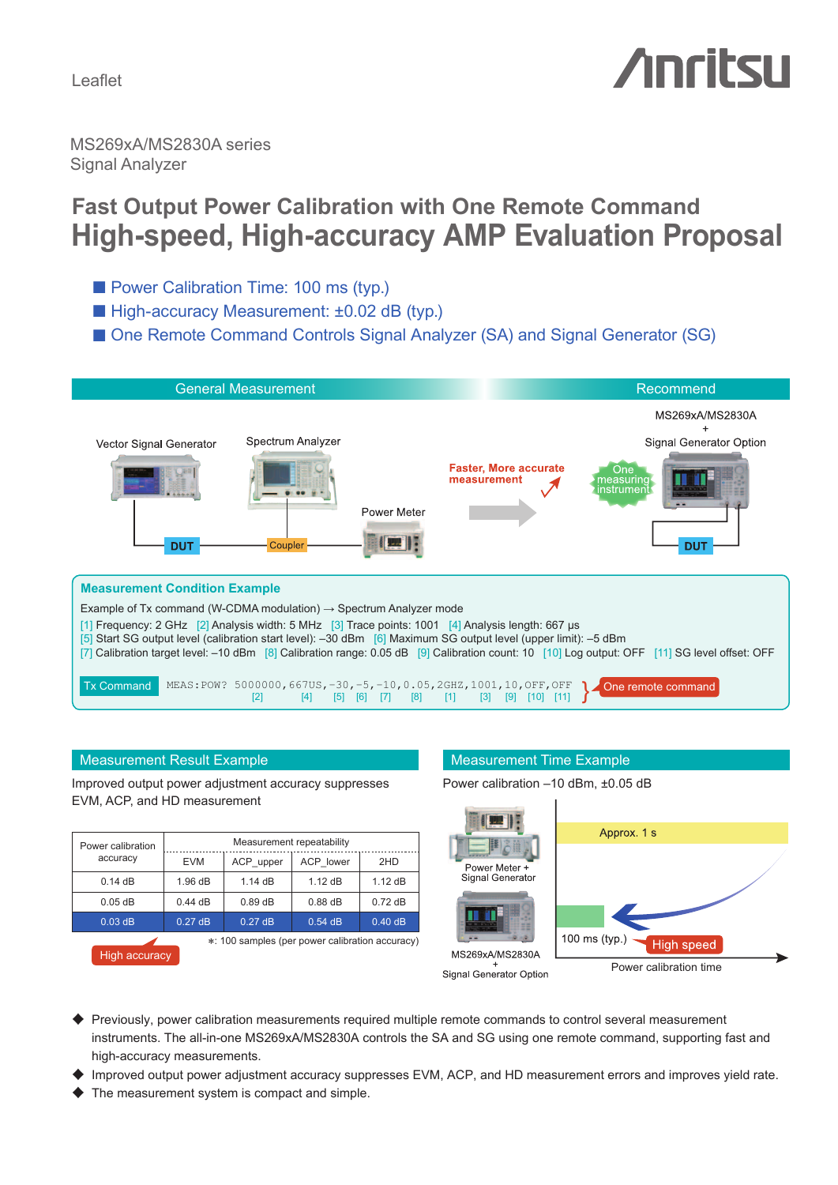Leaflet

# *Anritsu*

MS269xA/MS2830A series Signal Analyzer

# **Fast Output Power Calibration with One Remote Command High-speed, High-accuracy AMP Evaluation Proposal**

- Power Calibration Time: 100 ms (typ.)
- High-accuracy Measurement: ±0.02 dB (typ.)
- One Remote Command Controls Signal Analyzer (SA) and Signal Generator (SG)



### Measurement Result Example Measurement Time Example

Improved output power adjustment accuracy suppresses EVM, ACP, and HD measurement

| Power calibration<br>accuracy                   | Measurement repeatability |           |           |           |
|-------------------------------------------------|---------------------------|-----------|-----------|-----------|
|                                                 | <b>EVM</b>                | ACP upper | ACP lower | 2HD       |
| 0.14dB                                          | 1.96dB                    | 1.14dB    | $1.12$ dB | $1.12$ dB |
| $0.05$ dB                                       | $0.44$ dB                 | $0.89$ dB | $0.88$ dB | $0.72$ dB |
| $0.03$ dB                                       | 0.27dB                    | 0.27dB    | $0.54$ dB | 0.40dB    |
| *: 100 samples (per power calibration accuracy) |                           |           |           |           |



Power calibration –10 dBm, ±0.05 dB



Signal Generator Option

- ♦ Previously, power calibration measurements required multiple remote commands to control several measurement instruments. The all-in-one MS269xA/MS2830A controls the SA and SG using one remote command, supporting fast and high-accuracy measurements.
- Improved output power adjustment accuracy suppresses EVM, ACP, and HD measurement errors and improves yield rate.
- The measurement system is compact and simple.